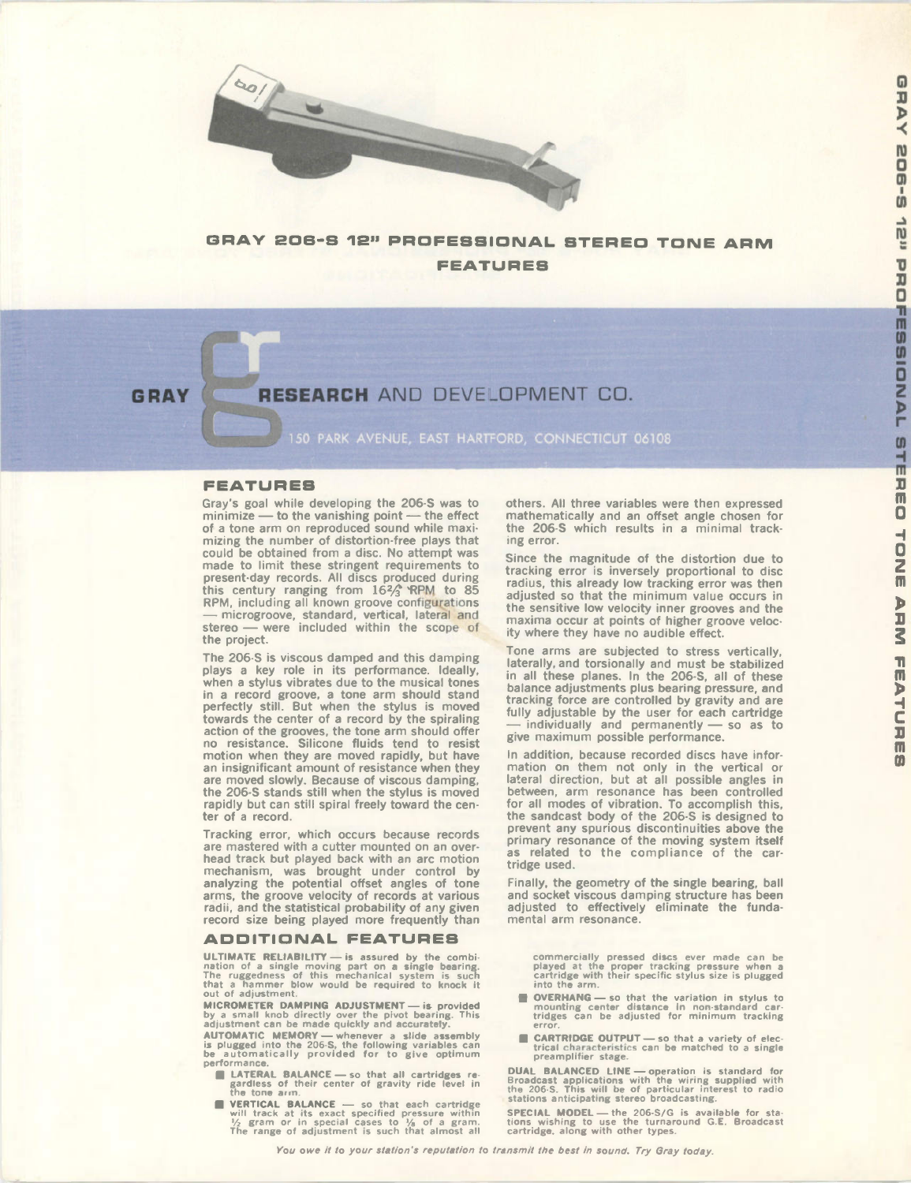

## GRAY 206-S 12" PROFESSIONAL STEREO TONE ARM **FEATURES**

## GRAY RESEARCH AND DEVELOPMENT CO.

50 PARK AVENUE, EAST HARTFORD, CONNECTICUT 06108

#### **FEATURES**

Gray's goal while developing the 206-S was to  $minimize$  — to the vanishing point — the effect of a tone arm on reproduced sound while maximizing the number of distortion-free plays that could be obtained from a disc. No attempt was made to limit these stringent requirements to present-day records. All discs produced during this century ranging from  $16\frac{2}{3}$  KPM to 85 RPM, including all known groove configurations — microgroove, standard, vertical, lateral and stereo — were included within the scope of the project.

The 206-S is viscous damped and this damping plays a key role in its performance. Ideally, when a stylus vibrates due to the musical tones in a record groove, a tone arm should stand perfectly still. But when the stylus is moved towards the center of a record by the spiraling action of the grooves, the tone arm should ofer no resistance. Silicone fluids tend to resist motion when they are moved rapidly, but have an insignificant amount of resistance when they are moved slowly. Because of viscous damping, the 206-S stands still when the stylus is moved rapidly but can still spiral freely toward the center of a record.

Tracking error, which occurs because records are mastered with a cutter mounted on an overhead track but played back with an arc motion mechanism, was brought under control by analyzing the potential offset angles of tone arms, the groove velocity of records at various radii, and the statistical probability of any given record size being played more frequently than

#### **ADDITIONAL FEATURES**

ULTIMATE RELIABILITY — is assured by the combi-<br>nation of a single moving part on a single bearing.<br>The ruggedness of this mechanical system is such<br>that a hammer blow would be required to knock it<br>out of adjustment.

MICROMETER DAMPING ADJUSTMENT — is provided<br>by a small knob directly over the pivot bearing. This<br>adjustment can be made quickly and accurately.

AUTOMATIC MEMORY — whenever a slide assembly<br>is plugged into the 206-S, the following variables can<br>be automatically provided for to give optimum performance

- 1. LATERAL BALANCE so that all cartridges re-gardless of their center of gravity ride level in the tone ai m.
- **EXECTICAL BALANCE** so that each cartridge will track at its exact specified pressure within  $\frac{1}{2}$  gram or in special cases to  $\frac{1}{6}$  of a gram.<br>The range of adjustment is such that almost all

others. All three variables were then expressed mathematically and an ofset angle chosen for the 206-S which results in a minimal tracking error.

Since the magnitude of the distortion due to tracking error is inversely proportional to disc radius, this already low tracking error was then adjusted so that the minimum value occurs in the sensitive low velocity inner grooves and the maxima occur at points of higher groove velocity where they have no audible effect.

Tone arms are subjected to stress vertically, laterally, and torsionally and must be stabilized in all these planes. In the 206-S, all of these balance adjustments plus bearing pressure, and tracking force are controlled by gravity and are fully adjustable by the user for each cartridge — individually and permanently — so as to give maximum possible performance.

In addition, because recorded discs have information on them not only in the vertical or lateral direction, but at all possible angles in between, arm resonance has been controlled for all modes of vibration. To accomplish this, the sandcast body of the 206-S is designed to prevent any spurious discontinuities above the primary resonance of the moving system itself as related to the compliance of the cartridge used.

Finally, the geometry of the single bearing, ball and socket viscous damping structure has been adjusted to efectively eliminate the fundamental arm resonance.

commercially pressed discs ever made can be<br>played at the proper tracking pressure when a<br>cartridge with their specific stylus size is plugged<br>into the arm.

- el OVERHANG so that the variation in stylus to mounting center distance in non-standard car-tridges can be adjusted for mini mu m tracking error.
- **CARTRIDGE OUTPUT** so that a variety of electrical characteristics can be matched to a single prea mplifier stage.

DUAL BALANCED LINE — operation is standard for Broadcast applications with the wiring supplied with the 206-S. This will be of particular interest to radio stations anticipating stereo broadcasting.

SPECIAL MODEL — the 206-S/G is available for sta-tions wishing to use the turnaround G.E. Broadcast cartridge, along with other types.

You owe it to your station's reputation to transmit the best in sound. Try Gray today.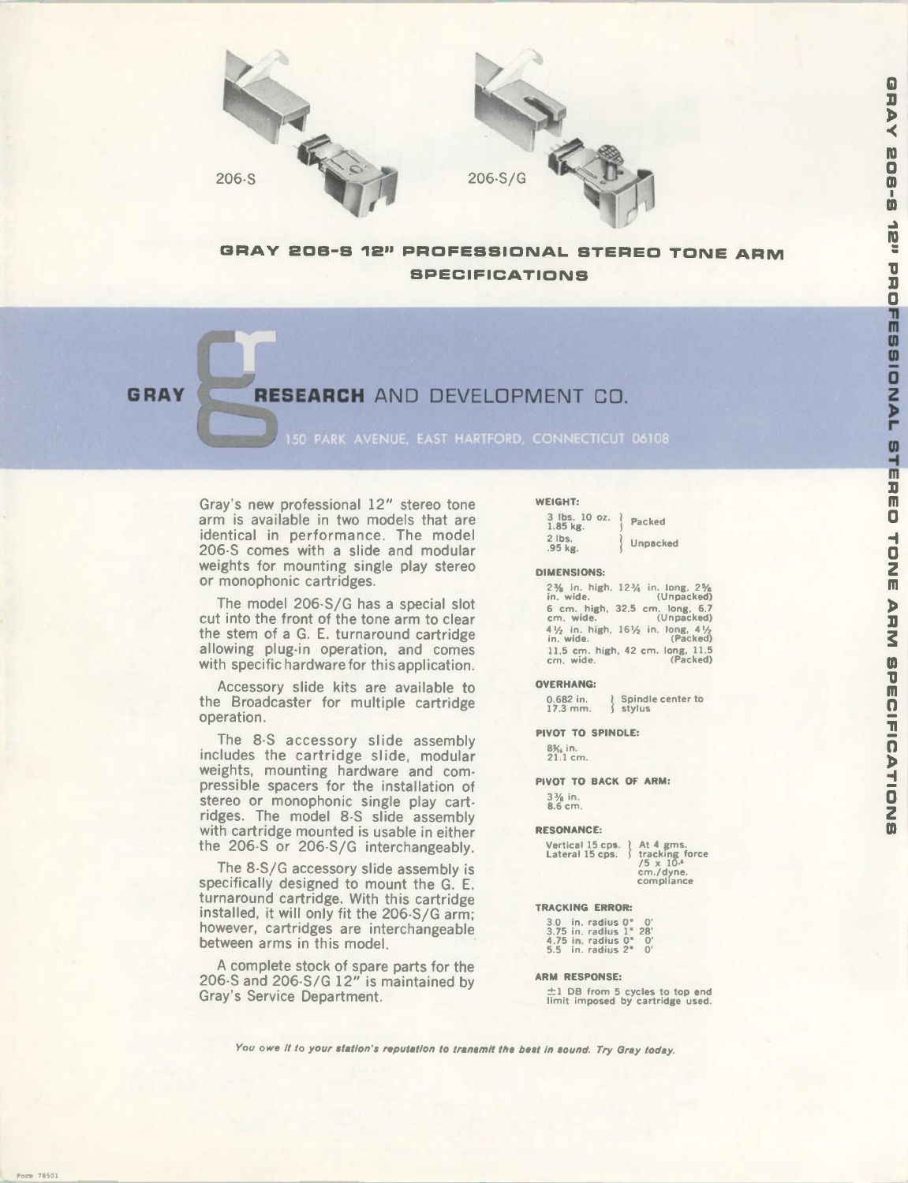

### GRAY 206-S 12" PROFESSIONAL STEREO TONE ARM **SPECIFICATIONS**

 $206-S$ 

## GRAY RESEARCH AND DEVELOPMENT CO.

150 PARK AVENUE, EAST HARTFORD, CONNECTICUT 06108

Gray's new professional 12" stereo tone arm is available in two models that are identical in performance. The model 206-S comes with a slide and modular weights for mounting single play stereo or monophonic cartridges.

The model 206-S/G has a special slot cut into the front of the tone arm to clear the stem of a G. E. turnaround cartridge allowing plug-in operation, and comes with specific hardware for this application.

Accessory slide kits are available to the Broadcaster for multiple cartridge operation.

The 8-S accessory slide assembly includes the cartridge slide, modular weights, mounting hardware and compressible spacers for the installation of stereo or monophonic single play cartridges. The model 8-S slide assembly with cartridge mounted is usable in either the 206-S or 206-S/G interchangeably.

The 8-S/G accessory slide assembly is specifically designed to mount the G. E. turnaround cartridge. With this cartridge installed, it will only fit the 206-S/G arm: however, cartridges are interchangeable between arms in this model.

A complete stock of spare parts for the 206-S and 206-S/G 12" is maintained by Gray's Service Department.

#### WEIGHT:

| 3 lbs. 10 oz.<br>1.85 kg. | Packed |          |
|---------------------------|--------|----------|
| $2$ lbs.<br>.95 kg.       |        | Unpacked |

#### DIMENSIONS:

| 2% in. high, 12% in. long, 2%<br>in. wide.       | (Unpacked) |
|--------------------------------------------------|------------|
| 6 cm. high, 32.5 cm. long, 6.7<br>cm. wide.      | (Unpacked) |
| 41/2 in. high, 161/2 in. long, 41/2<br>in. wide. | (Packed)   |
| 11.5 cm. high, 42 cm. long, 11.5<br>cm, wide.    | (Packed)   |

#### OVERHANG:

0.682 in.<br>17.3 mm Spindle center to stylus

PIVOT TO SPINDLE:

8% in.<br>21.1 cm

PIVOT TO BACK OF ARM: 3% in. 8.6 cm.

## RESONANCE:

| At 4 gms.<br>tracking force<br>$/5 \times 10.4$<br>cm./dyne.<br>compliance |
|----------------------------------------------------------------------------|
|                                                                            |

#### TRACKING ERROR:

|         | $3.0$ in, radius $0^{\circ}$  | n'        |
|---------|-------------------------------|-----------|
|         | $3.75$ in. radius $1^{\circ}$ | 28'       |
|         | $4.75$ in. radius $0^{\circ}$ | O.        |
| $5.5 -$ | in. radius 2°                 | $\Omega'$ |

#### ARM RESPONSE:

 $\pm 1$  DB from 5 cycles to top end<br>limit imposed by cartridge used.

You owe it to your station's reputation to transmit the best in sound. Try Gray today.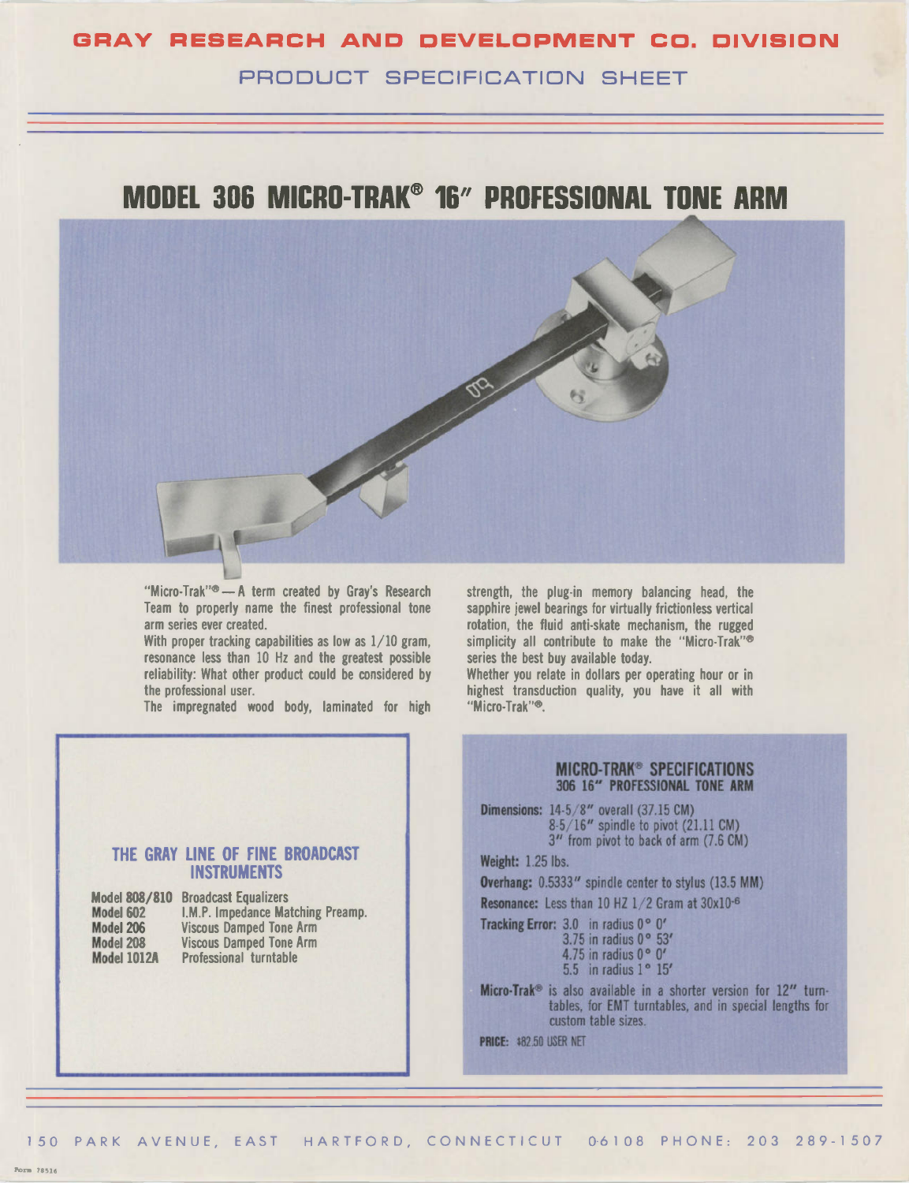## GRAY RESEARCH AND DEVELOPMENT CO. DIVISION PRODUCT SPECIFICATION SHEFT

# MODEL 306 MICRO-TRAK® 16" PROFESSIONAL TONE ARM



Micro-Trak"® — A term created by Gray's Research Team to properly name the finest professional tone arm series ever created.

With proper tracking capabilities as low as  $1/10$  gram, resonance less than 10 Hz and the greatest possible reliability: What other product could be considered by the professional user.

The impregnated wood body, laminated for high

strength. the plug-in memory balancing head, the sapphire jewel bearings for virtually frictionless vertical rotation, the fluid anti-skate mechanism, the rugged simplicity all contribute to make the "Micro-Trak"<sup>®</sup> series the best buy available today.

Whether you relate in dollars per operating hour or in highest transduction quality, you have it all with "Micro-Trak"®.

### THE GRAY LINE OF FINE BROADCAST INSTRUMENTS

| <b>Model 808/810</b> | <b>Broadcast Equalizers</b>       |
|----------------------|-----------------------------------|
| Model 602            | I.M.P. Impedance Matching Preamp. |
| Model 206            | <b>Viscous Damped Tone Arm</b>    |
| Model 208            | <b>Viscous Damped Tone Arm</b>    |
| <b>Model 1012A</b>   | <b>Professional turntable</b>     |
|                      |                                   |

### **MICRO-TRAK<sup>®</sup> SPECIFICATIONS** 306 16" PROFESSIONAL TONE ARM

**Dimensions: 14-5/8" overall (37.15 CM)** 8-5 16" spindle to pivot (21.11 CM) 3" from pivot to back of arm (7.6 CM)

Weight: 1.25 lbs.

Overhang: 0.5333" spindle center to stylus (13.5 MM)

Resonance: Less than 10 HZ  $1/2$  Gram at  $30x10^{-6}$ 

Tracking Error: 3.0 in radius 0° 0' 3.75 in radius 0° 53' 4.75 in radius 0° 0' 5.5 in radius 1° 15'

Micro-Trak<sup>®</sup> is also available in a shorter version for 12" turntables, for EMT turntables, and in special lengths for custom table sizes.

PRICE: \$82.50 USER NET

Form 78516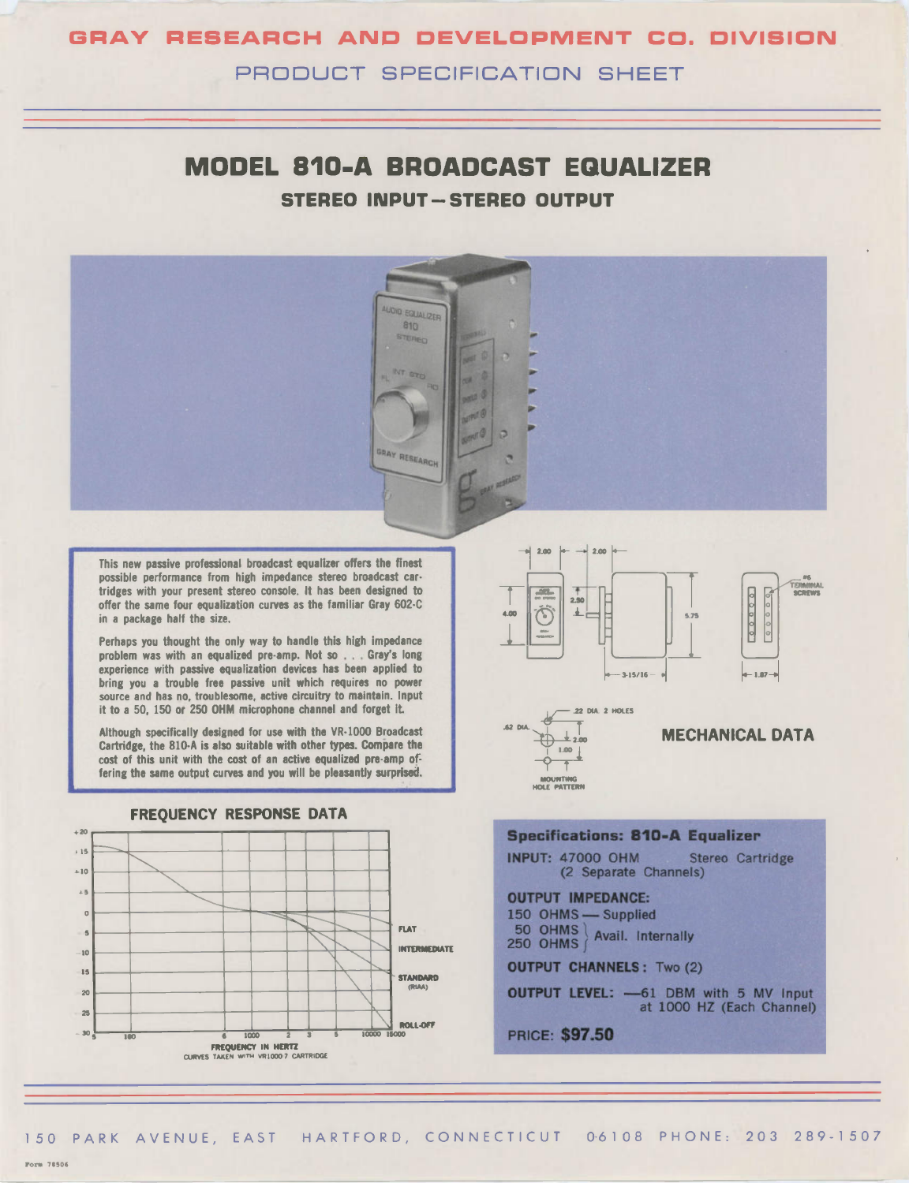## GRAY RESEARCH AND DEVELOPMENT CO. DIVISION

PRODUCT SPECIFICATION SHEET

## MODEL 810-A BROADCAST EQUALIZER STEREO INPUT - STEREO OUTPUT



150 PARK AVENUE, EAST HARTFORD, CONNECTICUT 06108 PHONE: 203 289-1507

**Porm 78506**